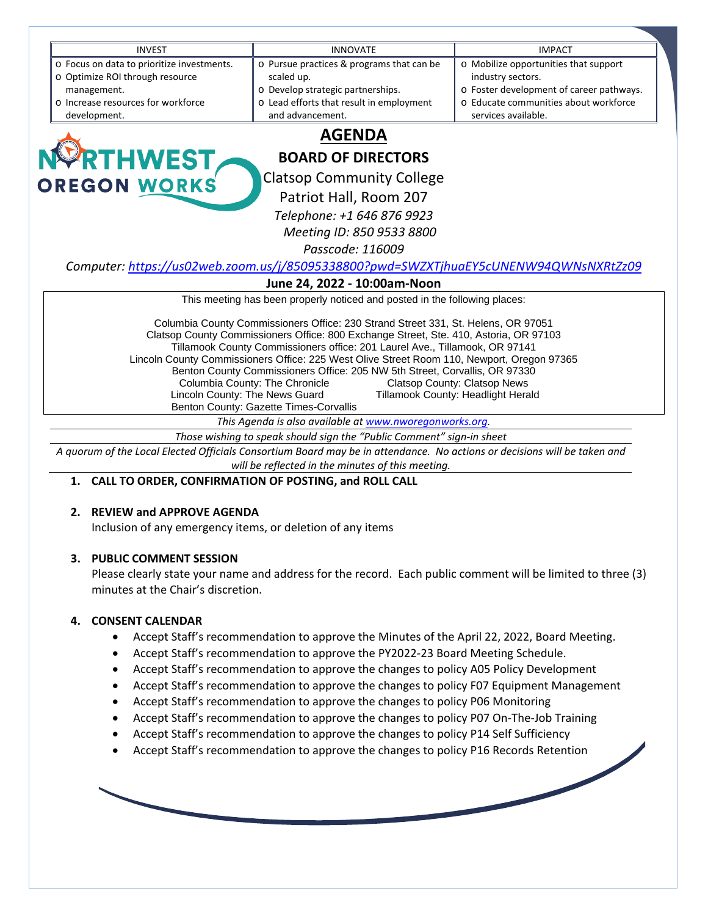| <b>INVEST</b>                              | <b>INNOVATE</b>                           | <b>IMPACT</b>                            |
|--------------------------------------------|-------------------------------------------|------------------------------------------|
| o Focus on data to prioritize investments. | o Pursue practices & programs that can be | o Mobilize opportunities that support    |
| ○ Optimize ROI through resource            | scaled up.                                | industry sectors.                        |
| management.                                | o Develop strategic partnerships.         | o Foster development of career pathways. |
| o Increase resources for workforce         | o Lead efforts that result in employment  | o Educate communities about workforce    |
| development.                               | and advancement.                          | services available.                      |



**AGENDA**

**BOARD OF DIRECTORS**

Clatsop Community College

Patriot Hall, Room 207

*Telephone: +1 646 876 9923*

 *Meeting ID: 850 9533 8800*

*Passcode: 116009*

*Computer: <https://us02web.zoom.us/j/85095338800?pwd=SWZXTjhuaEY5cUNENW94QWNsNXRtZz09>*

# **June 24, 2022 - 10:00am-Noon**

This meeting has been properly noticed and posted in the following places:

Columbia County Commissioners Office: 230 Strand Street 331, St. Helens, OR 97051 Clatsop County Commissioners Office: 800 Exchange Street, Ste. 410, Astoria, OR 97103 Tillamook County Commissioners office: 201 Laurel Ave., Tillamook, OR 97141 Lincoln County Commissioners Office: 225 West Olive Street Room 110, Newport, Oregon 97365 Benton County Commissioners Office: 205 NW 5th Street, Corvallis, OR 97330 Columbia County: The Chronicle Clatsop County: Clatsop News Lincoln County: The News Guard Tillamook County: Headlight Herald Benton County: Gazette Times-Corvallis

*This Agenda is also available a[t www.nworegonworks.org.](http://www.nworegonworks.org/)* 

*Those wishing to speak should sign the "Public Comment" sign-in sheet*

*A quorum of the Local Elected Officials Consortium Board may be in attendance. No actions or decisions will be taken and will be reflected in the minutes of this meeting.*

# **1. CALL TO ORDER, CONFIRMATION OF POSTING, and ROLL CALL**

# **2. REVIEW and APPROVE AGENDA**

Inclusion of any emergency items, or deletion of any items

# **3. PUBLIC COMMENT SESSION**

Please clearly state your name and address for the record. Each public comment will be limited to three (3) minutes at the Chair's discretion.

# **4. CONSENT CALENDAR**

- Accept Staff's recommendation to approve the Minutes of the April 22, 2022, Board Meeting.
- Accept Staff's recommendation to approve the PY2022-23 Board Meeting Schedule.
- Accept Staff's recommendation to approve the changes to policy A05 Policy Development
- Accept Staff's recommendation to approve the changes to policy F07 Equipment Management
- Accept Staff's recommendation to approve the changes to policy P06 Monitoring
- Accept Staff's recommendation to approve the changes to policy P07 On-The-Job Training
- Accept Staff's recommendation to approve the changes to policy P14 Self Sufficiency
- Accept Staff's recommendation to approve the changes to policy P16 Records Retention